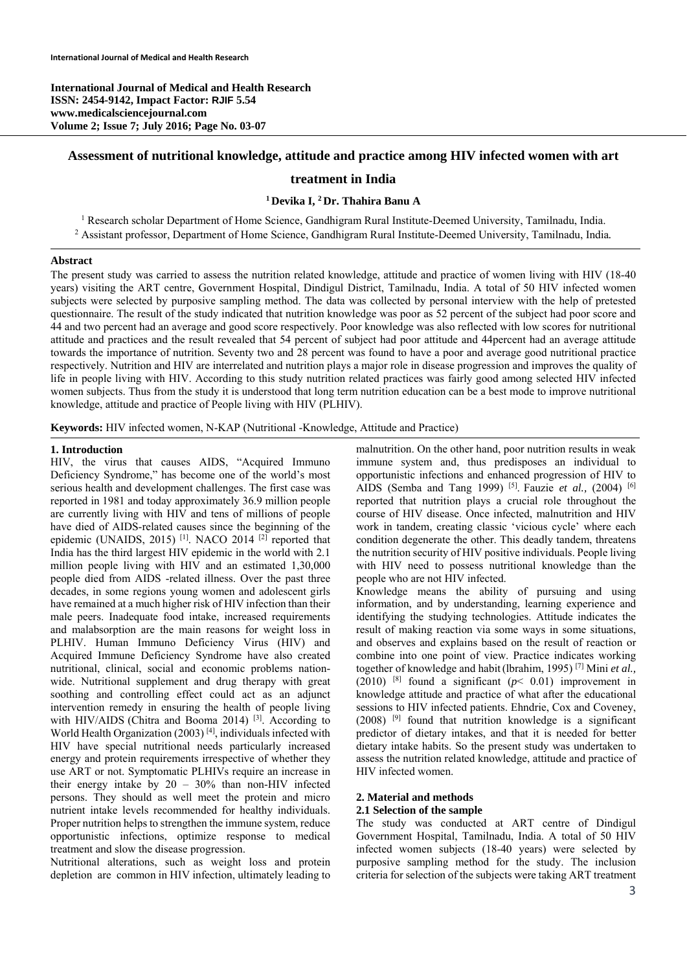**International Journal of Medical and Health Research ISSN: 2454-9142, Impact Factor: RJIF 5.54 www.medicalsciencejournal.com Volume 2; Issue 7; July 2016; Page No. 03-07** 

## **Assessment of nutritional knowledge, attitude and practice among HIV infected women with art**

## **treatment in India**

## **1 Devika I, 2 Dr. Thahira Banu A**

<sup>1</sup> Research scholar Department of Home Science, Gandhigram Rural Institute-Deemed University, Tamilnadu, India. 2 Assistant professor, Department of Home Science, Gandhigram Rural Institute-Deemed University, Tamilnadu, India*.* 

#### **Abstract**

The present study was carried to assess the nutrition related knowledge, attitude and practice of women living with HIV (18-40 years) visiting the ART centre, Government Hospital, Dindigul District, Tamilnadu, India. A total of 50 HIV infected women subjects were selected by purposive sampling method. The data was collected by personal interview with the help of pretested questionnaire. The result of the study indicated that nutrition knowledge was poor as 52 percent of the subject had poor score and 44 and two percent had an average and good score respectively. Poor knowledge was also reflected with low scores for nutritional attitude and practices and the result revealed that 54 percent of subject had poor attitude and 44percent had an average attitude towards the importance of nutrition. Seventy two and 28 percent was found to have a poor and average good nutritional practice respectively. Nutrition and HIV are interrelated and nutrition plays a major role in disease progression and improves the quality of life in people living with HIV. According to this study nutrition related practices was fairly good among selected HIV infected women subjects. Thus from the study it is understood that long term nutrition education can be a best mode to improve nutritional knowledge, attitude and practice of People living with HIV (PLHIV).

**Keywords:** HIV infected women, N-KAP (Nutritional -Knowledge, Attitude and Practice)

## **1. Introduction**

HIV, the virus that causes AIDS, "Acquired Immuno Deficiency Syndrome," has become one of the world's most serious health and development challenges. The first case was reported in 1981 and today approximately 36.9 million people are currently living with HIV and tens of millions of people have died of AIDS-related causes since the beginning of the epidemic (UNAIDS, 2015)<sup>[1]</sup>. NACO 2014<sup>[2]</sup> reported that India has the third largest HIV epidemic in the world with 2.1 million people living with HIV and an estimated 1,30,000 people died from AIDS -related illness. Over the past three decades, in some regions young women and adolescent girls have remained at a much higher risk of HIV infection than their male peers. Inadequate food intake, increased requirements and malabsorption are the main reasons for weight loss in PLHIV. Human Immuno Deficiency Virus (HIV) and Acquired Immune Deficiency Syndrome have also created nutritional, clinical, social and economic problems nationwide. Nutritional supplement and drug therapy with great soothing and controlling effect could act as an adjunct intervention remedy in ensuring the health of people living with HIV/AIDS (Chitra and Booma 2014)<sup>[3]</sup>. According to World Health Organization (2003)<sup>[4]</sup>, individuals infected with HIV have special nutritional needs particularly increased energy and protein requirements irrespective of whether they use ART or not. Symptomatic PLHIVs require an increase in their energy intake by 20 – 30% than non-HIV infected persons. They should as well meet the protein and micro nutrient intake levels recommended for healthy individuals. Proper nutrition helps to strengthen the immune system, reduce opportunistic infections, optimize response to medical treatment and slow the disease progression.

Nutritional alterations, such as weight loss and protein depletion are common in HIV infection, ultimately leading to malnutrition. On the other hand, poor nutrition results in weak immune system and, thus predisposes an individual to opportunistic infections and enhanced progression of HIV to AIDS (Semba and Tang 1999) [5]. Fauzie *et al.,* (2004) [6] reported that nutrition plays a crucial role throughout the course of HIV disease. Once infected, malnutrition and HIV work in tandem, creating classic 'vicious cycle' where each condition degenerate the other. This deadly tandem, threatens the nutrition security of HIV positive individuals. People living with HIV need to possess nutritional knowledge than the people who are not HIV infected.

Knowledge means the ability of pursuing and using information, and by understanding, learning experience and identifying the studying technologies. Attitude indicates the result of making reaction via some ways in some situations, and observes and explains based on the result of reaction or combine into one point of view. Practice indicates working together of knowledge and habit(lbrahim, 1995) [7] Mini *et al.,*  (2010)  $[8]$  found a significant ( $p < 0.01$ ) improvement in knowledge attitude and practice of what after the educational sessions to HIV infected patients. Ehndrie, Cox and Coveney,  $(2008)$  <sup>[9]</sup> found that nutrition knowledge is a significant predictor of dietary intakes, and that it is needed for better dietary intake habits. So the present study was undertaken to assess the nutrition related knowledge, attitude and practice of HIV infected women.

#### **2. Material and methods**

#### **2.1 Selection of the sample**

The study was conducted at ART centre of Dindigul Government Hospital, Tamilnadu, India. A total of 50 HIV infected women subjects (18-40 years) were selected by purposive sampling method for the study. The inclusion criteria for selection of the subjects were taking ART treatment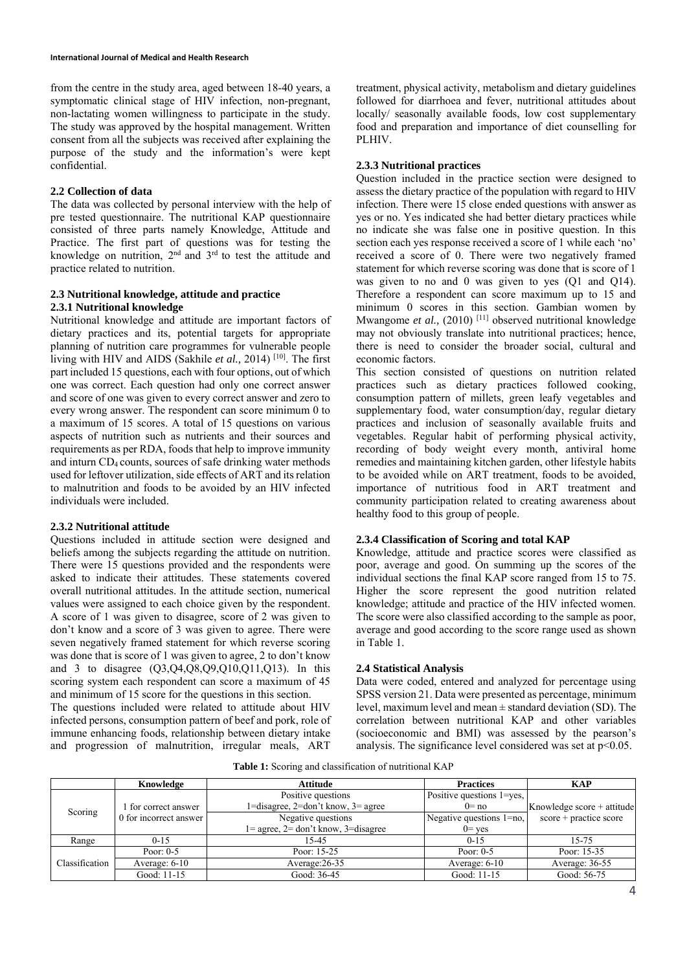from the centre in the study area, aged between 18-40 years, a symptomatic clinical stage of HIV infection, non-pregnant, non-lactating women willingness to participate in the study. The study was approved by the hospital management. Written consent from all the subjects was received after explaining the purpose of the study and the information's were kept confidential.

## **2.2 Collection of data**

The data was collected by personal interview with the help of pre tested questionnaire. The nutritional KAP questionnaire consisted of three parts namely Knowledge, Attitude and Practice. The first part of questions was for testing the knowledge on nutrition,  $2<sup>nd</sup>$  and  $3<sup>rd</sup>$  to test the attitude and practice related to nutrition.

## **2.3 Nutritional knowledge, attitude and practice 2.3.1 Nutritional knowledge**

Nutritional knowledge and attitude are important factors of dietary practices and its, potential targets for appropriate planning of nutrition care programmes for vulnerable people living with HIV and AIDS (Sakhile *et al.,* 2014) [10]. The first part included 15 questions, each with four options, out of which one was correct. Each question had only one correct answer and score of one was given to every correct answer and zero to every wrong answer. The respondent can score minimum 0 to a maximum of 15 scores. A total of 15 questions on various aspects of nutrition such as nutrients and their sources and requirements as per RDA, foods that help to improve immunity and inturn CD4 counts, sources of safe drinking water methods used for leftover utilization, side effects of ART and its relation to malnutrition and foods to be avoided by an HIV infected individuals were included.

## **2.3.2 Nutritional attitude**

Questions included in attitude section were designed and beliefs among the subjects regarding the attitude on nutrition. There were 15 questions provided and the respondents were asked to indicate their attitudes. These statements covered overall nutritional attitudes. In the attitude section, numerical values were assigned to each choice given by the respondent. A score of 1 was given to disagree, score of 2 was given to don't know and a score of 3 was given to agree. There were seven negatively framed statement for which reverse scoring was done that is score of 1 was given to agree, 2 to don't know and 3 to disagree (Q3,Q4,Q8,Q9,Q10,Q11,Q13). In this scoring system each respondent can score a maximum of 45 and minimum of 15 score for the questions in this section.

The questions included were related to attitude about HIV infected persons, consumption pattern of beef and pork, role of immune enhancing foods, relationship between dietary intake and progression of malnutrition, irregular meals, ART

treatment, physical activity, metabolism and dietary guidelines followed for diarrhoea and fever, nutritional attitudes about locally/ seasonally available foods, low cost supplementary food and preparation and importance of diet counselling for PLHIV.

## **2.3.3 Nutritional practices**

Question included in the practice section were designed to assess the dietary practice of the population with regard to HIV infection. There were 15 close ended questions with answer as yes or no. Yes indicated she had better dietary practices while no indicate she was false one in positive question. In this section each yes response received a score of 1 while each 'no' received a score of 0. There were two negatively framed statement for which reverse scoring was done that is score of 1 was given to no and 0 was given to yes (Q1 and Q14). Therefore a respondent can score maximum up to 15 and minimum 0 scores in this section. Gambian women by Mwangome *et al.*, (2010)<sup>[11]</sup> observed nutritional knowledge may not obviously translate into nutritional practices; hence, there is need to consider the broader social, cultural and economic factors.

This section consisted of questions on nutrition related practices such as dietary practices followed cooking, consumption pattern of millets, green leafy vegetables and supplementary food, water consumption/day, regular dietary practices and inclusion of seasonally available fruits and vegetables. Regular habit of performing physical activity, recording of body weight every month, antiviral home remedies and maintaining kitchen garden, other lifestyle habits to be avoided while on ART treatment, foods to be avoided, importance of nutritious food in ART treatment and community participation related to creating awareness about healthy food to this group of people.

## **2.3.4 Classification of Scoring and total KAP**

Knowledge, attitude and practice scores were classified as poor, average and good. On summing up the scores of the individual sections the final KAP score ranged from 15 to 75. Higher the score represent the good nutrition related knowledge; attitude and practice of the HIV infected women. The score were also classified according to the sample as poor, average and good according to the score range used as shown in Table 1.

#### **2.4 Statistical Analysis**

Data were coded, entered and analyzed for percentage using SPSS version 21. Data were presented as percentage, minimum level, maximum level and mean ± standard deviation (SD). The correlation between nutritional KAP and other variables (socioeconomic and BMI) was assessed by the pearson's analysis. The significance level considered was set at  $p<0.05$ .

**Table 1:** Scoring and classification of nutritional KAP

|                | Knowledge              | <b>Attitude</b>                                                | <b>Practices</b>              | <b>KAP</b>                 |  |
|----------------|------------------------|----------------------------------------------------------------|-------------------------------|----------------------------|--|
|                |                        | Positive questions                                             | Positive questions 1 = yes.   |                            |  |
| Scoring        | 1 for correct answer   | $1 =$ disagree, $2 =$ don't know, $3 =$ agree                  | $0 = no$                      | Knowledge score + attitude |  |
|                | 0 for incorrect answer | Negative questions                                             | Negative questions $1 = no$ , | score + practice score     |  |
|                |                        | $1 = \text{agree}, 2 = \text{don't know}, 3 = \text{disagree}$ | $0 = \text{ves}$              |                            |  |
| Range          | $0 - 15$               | 15-45                                                          | $0 - 15$                      | 15-75                      |  |
|                | Poor: $0-5$            | Poor: 15-25                                                    | Poor: $0-5$                   | Poor: 15-35                |  |
| Classification | Average: 6-10          | Average: 26-35                                                 | Average: 6-10                 | Average: 36-55             |  |
|                | Good: 11-15            | Good: 36-45                                                    | Good: 11-15                   | Good: 56-75                |  |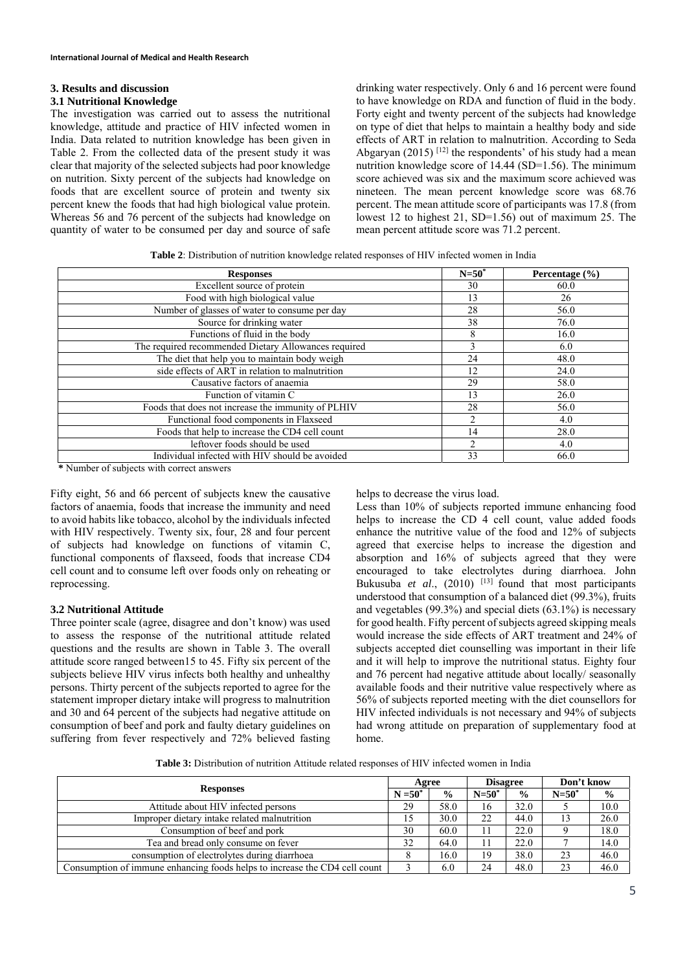# **3. Results and discussion**

## **3.1 Nutritional Knowledge**

The investigation was carried out to assess the nutritional knowledge, attitude and practice of HIV infected women in India. Data related to nutrition knowledge has been given in Table 2. From the collected data of the present study it was clear that majority of the selected subjects had poor knowledge on nutrition. Sixty percent of the subjects had knowledge on foods that are excellent source of protein and twenty six percent knew the foods that had high biological value protein. Whereas 56 and 76 percent of the subjects had knowledge on quantity of water to be consumed per day and source of safe drinking water respectively. Only 6 and 16 percent were found to have knowledge on RDA and function of fluid in the body. Forty eight and twenty percent of the subjects had knowledge on type of diet that helps to maintain a healthy body and side effects of ART in relation to malnutrition. According to Seda Abgaryan (2015)<sup>[12]</sup> the respondents' of his study had a mean nutrition knowledge score of 14.44 (SD=1.56). The minimum score achieved was six and the maximum score achieved was nineteen. The mean percent knowledge score was 68.76 percent. The mean attitude score of participants was 17.8 (from lowest 12 to highest 21, SD=1.56) out of maximum 25. The mean percent attitude score was 71.2 percent.

**Table 2**: Distribution of nutrition knowledge related responses of HIV infected women in India

| <b>Responses</b>                                     | $N=50^*$ | Percentage $(\% )$ |
|------------------------------------------------------|----------|--------------------|
| Excellent source of protein                          | 30       | 60.0               |
| Food with high biological value                      | 13       | 26                 |
| Number of glasses of water to consume per day        | 28       | 56.0               |
| Source for drinking water                            | 38       | 76.0               |
| Functions of fluid in the body                       | 8        | 16.0               |
| The required recommended Dietary Allowances required | 3        | 6.0                |
| The diet that help you to maintain body weigh        | 24       | 48.0               |
| side effects of ART in relation to malnutrition      | 12       | 24.0               |
| Causative factors of anaemia                         | 29       | 58.0               |
| Function of vitamin C                                | 13       | 26.0               |
| Foods that does not increase the immunity of PLHIV   | 28       | 56.0               |
| Functional food components in Flaxseed               | 2        | 4.0                |
| Foods that help to increase the CD4 cell count       | 14       | 28.0               |
| leftover foods should be used                        | 2        | 4.0                |
| Individual infected with HIV should be avoided       | 33       | 66.0               |

**\*** Number of subjects with correct answers

Fifty eight, 56 and 66 percent of subjects knew the causative factors of anaemia, foods that increase the immunity and need to avoid habits like tobacco, alcohol by the individuals infected with HIV respectively. Twenty six, four, 28 and four percent of subjects had knowledge on functions of vitamin C, functional components of flaxseed, foods that increase CD4 cell count and to consume left over foods only on reheating or reprocessing.

## **3.2 Nutritional Attitude**

Three pointer scale (agree, disagree and don't know) was used to assess the response of the nutritional attitude related questions and the results are shown in Table 3. The overall attitude score ranged between15 to 45. Fifty six percent of the subjects believe HIV virus infects both healthy and unhealthy persons. Thirty percent of the subjects reported to agree for the statement improper dietary intake will progress to malnutrition and 30 and 64 percent of the subjects had negative attitude on consumption of beef and pork and faulty dietary guidelines on suffering from fever respectively and 72% believed fasting helps to decrease the virus load.

Less than 10% of subjects reported immune enhancing food helps to increase the CD 4 cell count, value added foods enhance the nutritive value of the food and 12% of subjects agreed that exercise helps to increase the digestion and absorption and 16% of subjects agreed that they were encouraged to take electrolytes during diarrhoea. John Bukusuba *et al.*, (2010) <sup>[13]</sup> found that most participants understood that consumption of a balanced diet (99.3%), fruits and vegetables (99.3%) and special diets (63.1%) is necessary for good health. Fifty percent of subjects agreed skipping meals would increase the side effects of ART treatment and 24% of subjects accepted diet counselling was important in their life and it will help to improve the nutritional status. Eighty four and 76 percent had negative attitude about locally/ seasonally available foods and their nutritive value respectively where as 56% of subjects reported meeting with the diet counsellors for HIV infected individuals is not necessary and 94% of subjects had wrong attitude on preparation of supplementary food at home.

**Table 3:** Distribution of nutrition Attitude related responses of HIV infected women in India

| <b>Responses</b>                                                           | Agree |               | <b>Disagree</b> |               | Don't know |               |
|----------------------------------------------------------------------------|-------|---------------|-----------------|---------------|------------|---------------|
| $N = 50^*$                                                                 |       | $\frac{6}{9}$ | $N = 50^*$      | $\frac{0}{0}$ | $N = 50^*$ | $\frac{0}{0}$ |
| Attitude about HIV infected persons                                        | 29    | 58.0          | 16              | 32.0          |            | 10.0          |
| Improper dietary intake related malnutrition                               | 15    | 30.0          | 22              | 44.0          |            | 26.0          |
| Consumption of beef and pork                                               |       | 60.0          | 11              | 22.0          |            | 18.0          |
| Tea and bread only consume on fever                                        |       | 64.0          | 11              | 22.0          |            | 14.0          |
| consumption of electrolytes during diarrhoea                               |       | 16.0          | 19              | 38.0          | 23         | 46.0          |
| Consumption of immune enhancing foods helps to increase the CD4 cell count |       | 6.0           | 24              | 48.0          | 23         | 46.0          |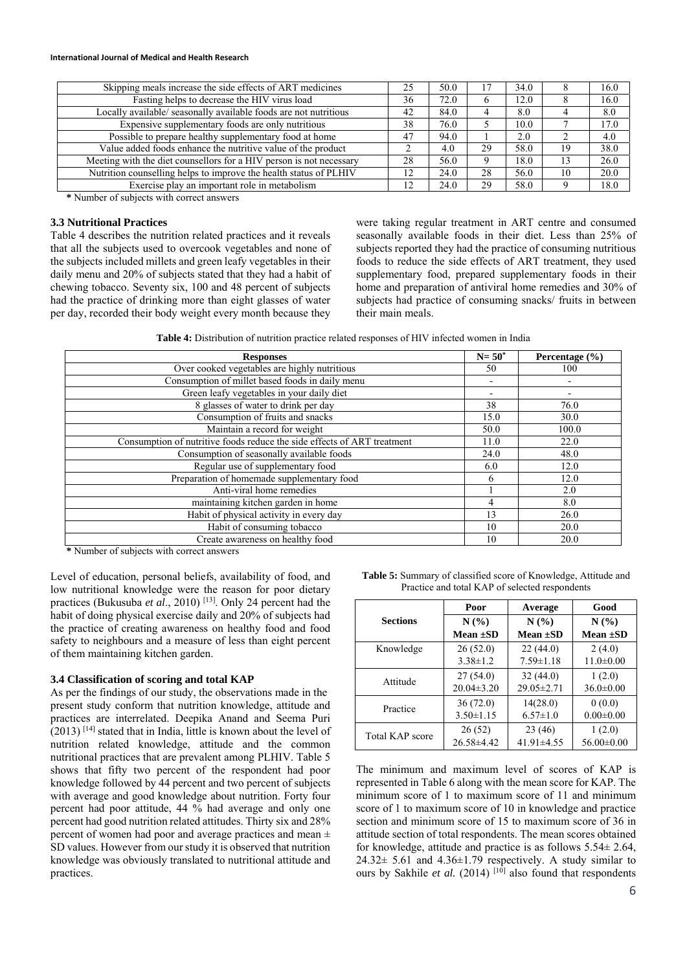#### **International Journal of Medical and Health Research**

| Skipping meals increase the side effects of ART medicines           | 25 | 50.0 |    | 34.0 |    | 16.0 |
|---------------------------------------------------------------------|----|------|----|------|----|------|
| Fasting helps to decrease the HIV virus load                        | 36 | 72.0 | 6  | 12.0 |    | 16.0 |
| Locally available/seasonally available foods are not nutritious     | 42 | 84.0 |    | 8.0  |    | 8.0  |
| Expensive supplementary foods are only nutritious                   | 38 | 76.0 |    | 10.0 |    | 17.0 |
| Possible to prepare healthy supplementary food at home              | 47 | 94.0 |    | 2.0  |    | 4.0  |
| Value added foods enhance the nutritive value of the product        |    | 4.0  | 29 | 58.0 | 19 | 38.0 |
| Meeting with the diet counsellors for a HIV person is not necessary | 28 | 56.0 |    | 18.0 |    | 26.0 |
| Nutrition counselling helps to improve the health status of PLHIV   | 12 | 24.0 | 28 | 56.0 | 10 | 20.0 |
| Exercise play an important role in metabolism                       | 12 | 24.0 | 29 | 58.0 |    | 18.0 |
|                                                                     |    |      |    |      |    |      |

**\*** Number of subjects with correct answers

## **3.3 Nutritional Practices**

Table 4 describes the nutrition related practices and it reveals that all the subjects used to overcook vegetables and none of the subjects included millets and green leafy vegetables in their daily menu and 20% of subjects stated that they had a habit of chewing tobacco. Seventy six, 100 and 48 percent of subjects had the practice of drinking more than eight glasses of water per day, recorded their body weight every month because they

were taking regular treatment in ART centre and consumed seasonally available foods in their diet. Less than 25% of subjects reported they had the practice of consuming nutritious foods to reduce the side effects of ART treatment, they used supplementary food, prepared supplementary foods in their home and preparation of antiviral home remedies and 30% of subjects had practice of consuming snacks/ fruits in between their main meals.

**Table 4:** Distribution of nutrition practice related responses of HIV infected women in India

| <b>Responses</b>                                                        | $N = 50^*$               | Percentage $(\% )$       |
|-------------------------------------------------------------------------|--------------------------|--------------------------|
| Over cooked vegetables are highly nutritious                            | 50                       | 100                      |
| Consumption of millet based foods in daily menu                         | $\overline{\phantom{0}}$ |                          |
| Green leafy vegetables in your daily diet                               | $\overline{\phantom{0}}$ | $\overline{\phantom{a}}$ |
| 8 glasses of water to drink per day                                     | 38                       | 76.0                     |
| Consumption of fruits and snacks                                        | 15.0                     | 30.0                     |
| Maintain a record for weight                                            | 50.0                     | 100.0                    |
| Consumption of nutritive foods reduce the side effects of ART treatment | 11.0                     | 22.0                     |
| Consumption of seasonally available foods                               | 24.0                     | 48.0                     |
| Regular use of supplementary food                                       | 6.0                      | 12.0                     |
| Preparation of homemade supplementary food                              | 6                        | 12.0                     |
| Anti-viral home remedies                                                |                          | 2.0                      |
| maintaining kitchen garden in home                                      | 4                        | 8.0                      |
| Habit of physical activity in every day                                 | 13                       | 26.0                     |
| Habit of consuming tobacco                                              | 10                       | 20.0                     |
| Create awareness on healthy food                                        | 10                       | 20.0                     |

**\*** Number of subjects with correct answers

Level of education, personal beliefs, availability of food, and low nutritional knowledge were the reason for poor dietary practices (Bukusuba *et al*., 2010) [13]. Only 24 percent had the habit of doing physical exercise daily and 20% of subjects had the practice of creating awareness on healthy food and food safety to neighbours and a measure of less than eight percent of them maintaining kitchen garden.

## **3.4 Classification of scoring and total KAP**

As per the findings of our study, the observations made in the present study conform that nutrition knowledge, attitude and practices are interrelated. Deepika Anand and Seema Puri  $(2013)$ <sup>[14]</sup> stated that in India, little is known about the level of nutrition related knowledge, attitude and the common nutritional practices that are prevalent among PLHIV. Table 5 shows that fifty two percent of the respondent had poor knowledge followed by 44 percent and two percent of subjects with average and good knowledge about nutrition. Forty four percent had poor attitude, 44 % had average and only one percent had good nutrition related attitudes. Thirty six and 28% percent of women had poor and average practices and mean ± SD values. However from our study it is observed that nutrition knowledge was obviously translated to nutritional attitude and practices.

**Table 5:** Summary of classified score of Knowledge, Attitude and Practice and total KAP of selected respondents

|                        | Poor             | Average          | Good             |
|------------------------|------------------|------------------|------------------|
| <b>Sections</b>        | N(%              | N(%)             | N(%)             |
|                        | Mean $\pm SD$    | Mean $\pm SD$    | <b>Mean ±SD</b>  |
| Knowledge              | 26(52.0)         | 22(44.0)         | 2(4.0)           |
|                        | $3.38 \pm 1.2$   | $7.59 \pm 1.18$  | $11.0 \pm 0.00$  |
|                        | 27(54.0)         | 32(44.0)         | 1(2.0)           |
| Attitude               | $20.04 \pm 3.20$ | $29.05 \pm 2.71$ | $36.0 \pm 0.00$  |
| Practice               | 36(72.0)         | 14(28.0)         | 0(0.0)           |
|                        | $3.50 \pm 1.15$  | $6.57 \pm 1.0$   | $0.00 \pm 0.00$  |
| <b>Total KAP score</b> | 26(52)           | 23(46)           | 1(2.0)           |
|                        | $26.58\pm4.42$   | $41.91 \pm 4.55$ | $56.00 \pm 0.00$ |

The minimum and maximum level of scores of KAP is represented in Table 6 along with the mean score for KAP. The minimum score of 1 to maximum score of 11 and minimum score of 1 to maximum score of 10 in knowledge and practice section and minimum score of 15 to maximum score of 36 in attitude section of total respondents. The mean scores obtained for knowledge, attitude and practice is as follows 5.54± 2.64,  $24.32 \pm 5.61$  and  $4.36 \pm 1.79$  respectively. A study similar to ours by Sakhile *et al.* (2014)  $[10]$  also found that respondents